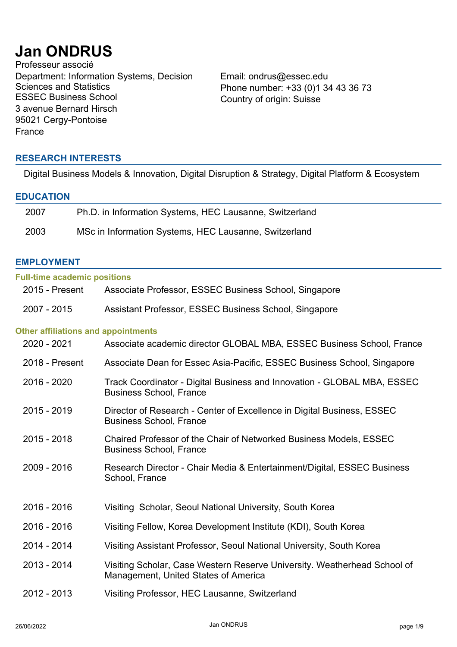# **Jan ONDRUS**

Professeur associé Department: Information Systems, Decision Sciences and Statistics<br>ESSEC Business School 3 avenue Bernard Hirsch 95021 Cergy-Pontoise France

Email: ondrus@essec.edu Phone number: +33 (0)1 34 43 36 73 Country of origin: Suisse

# **RESEARCH INTERESTS**

Digital Business Models & Innovation, Digital Disruption & Strategy, Digital Platform & Ecosystem

## **EDUCATION**

| 2007 | Ph.D. in Information Systems, HEC Lausanne, Switzerland |
|------|---------------------------------------------------------|
| 2003 | MSc in Information Systems, HEC Lausanne, Switzerland   |

## **EMPLOYMENT**

| <b>Full-time academic positions</b>        |                                                                                                                  |
|--------------------------------------------|------------------------------------------------------------------------------------------------------------------|
| 2015 - Present                             | Associate Professor, ESSEC Business School, Singapore                                                            |
| 2007 - 2015                                | Assistant Professor, ESSEC Business School, Singapore                                                            |
| <b>Other affiliations and appointments</b> |                                                                                                                  |
| 2020 - 2021                                | Associate academic director GLOBAL MBA, ESSEC Business School, France                                            |
| 2018 - Present                             | Associate Dean for Essec Asia-Pacific, ESSEC Business School, Singapore                                          |
| 2016 - 2020                                | Track Coordinator - Digital Business and Innovation - GLOBAL MBA, ESSEC<br><b>Business School, France</b>        |
| 2015 - 2019                                | Director of Research - Center of Excellence in Digital Business, ESSEC<br><b>Business School, France</b>         |
| 2015 - 2018                                | Chaired Professor of the Chair of Networked Business Models, ESSEC<br><b>Business School, France</b>             |
| 2009 - 2016                                | Research Director - Chair Media & Entertainment/Digital, ESSEC Business<br>School, France                        |
| 2016 - 2016                                | Visiting Scholar, Seoul National University, South Korea                                                         |
| 2016 - 2016                                | Visiting Fellow, Korea Development Institute (KDI), South Korea                                                  |
| 2014 - 2014                                | Visiting Assistant Professor, Seoul National University, South Korea                                             |
| 2013 - 2014                                | Visiting Scholar, Case Western Reserve University. Weatherhead School of<br>Management, United States of America |
| 2012 - 2013                                | Visiting Professor, HEC Lausanne, Switzerland                                                                    |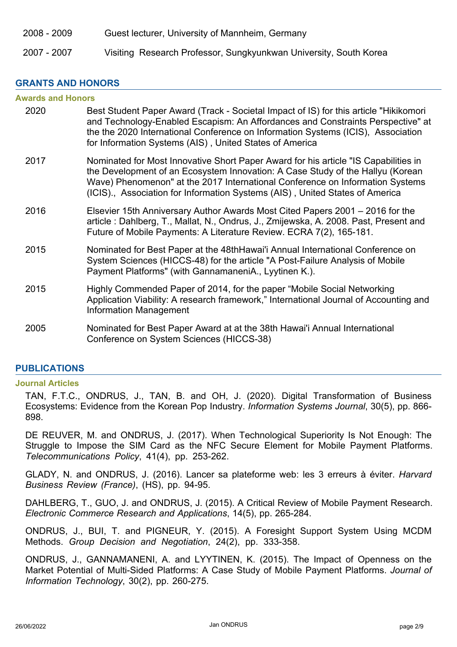2008 - 2009 Guest lecturer, University of Mannheim, Germany

# 2007 - 2007 Visiting Research Professor, Sungkyunkwan University, South Korea

# **GRANTS AND HONORS**

| <b>Awards and Honors</b> |                                                                                                                                                                                                                                                                                                                                        |  |
|--------------------------|----------------------------------------------------------------------------------------------------------------------------------------------------------------------------------------------------------------------------------------------------------------------------------------------------------------------------------------|--|
| 2020                     | Best Student Paper Award (Track - Societal Impact of IS) for this article "Hikikomori<br>and Technology-Enabled Escapism: An Affordances and Constraints Perspective" at<br>the the 2020 International Conference on Information Systems (ICIS), Association<br>for Information Systems (AIS), United States of America                |  |
| 2017                     | Nominated for Most Innovative Short Paper Award for his article "IS Capabilities in<br>the Development of an Ecosystem Innovation: A Case Study of the Hallyu (Korean<br>Wave) Phenomenon" at the 2017 International Conference on Information Systems<br>(ICIS)., Association for Information Systems (AIS), United States of America |  |
| 2016                     | Elsevier 15th Anniversary Author Awards Most Cited Papers 2001 – 2016 for the<br>article: Dahlberg, T., Mallat, N., Ondrus, J., Zmijewska, A. 2008. Past, Present and<br>Future of Mobile Payments: A Literature Review. ECRA 7(2), 165-181.                                                                                           |  |
| 2015                     | Nominated for Best Paper at the 48thHawai'i Annual International Conference on<br>System Sciences (HICCS-48) for the article "A Post-Failure Analysis of Mobile<br>Payment Platforms" (with GannamaneniA., Lyytinen K.).                                                                                                               |  |
| 2015                     | Highly Commended Paper of 2014, for the paper "Mobile Social Networking<br>Application Viability: A research framework," International Journal of Accounting and<br><b>Information Management</b>                                                                                                                                      |  |
| 2005                     | Nominated for Best Paper Award at at the 38th Hawai'i Annual International<br>Conference on System Sciences (HICCS-38)                                                                                                                                                                                                                 |  |

# **PUBLICATIONS**

#### **Journal Articles**

TAN, F.T.C., ONDRUS, J., TAN, B. and OH, J. (2020). Digital Transformation of Business Ecosystems: Evidence from the Korean Pop Industry. *Information Systems Journal*, 30(5), pp. 866- 898.

DE REUVER, M. and ONDRUS, J. (2017). When Technological Superiority Is Not Enough: The Struggle to Impose the SIM Card as the NFC Secure Element for Mobile Payment Platforms. *Telecommunications Policy*, 41(4), pp. 253-262.

GLADY, N. and ONDRUS, J. (2016). Lancer sa plateforme web: les 3 erreurs à éviter. *Harvard Business Review (France)*, (HS), pp. 94-95.

DAHLBERG, T., GUO, J. and ONDRUS, J. (2015). A Critical Review of Mobile Payment Research. *Electronic Commerce Research and Applications*, 14(5), pp. 265-284.

ONDRUS, J., BUI, T. and PIGNEUR, Y. (2015). A Foresight Support System Using MCDM Methods. *Group Decision and Negotiation*, 24(2), pp. 333-358.

ONDRUS, J., GANNAMANENI, A. and LYYTINEN, K. (2015). The Impact of Openness on the Market Potential of Multi-Sided Platforms: A Case Study of Mobile Payment Platforms. *Journal of Information Technology*, 30(2), pp. 260-275.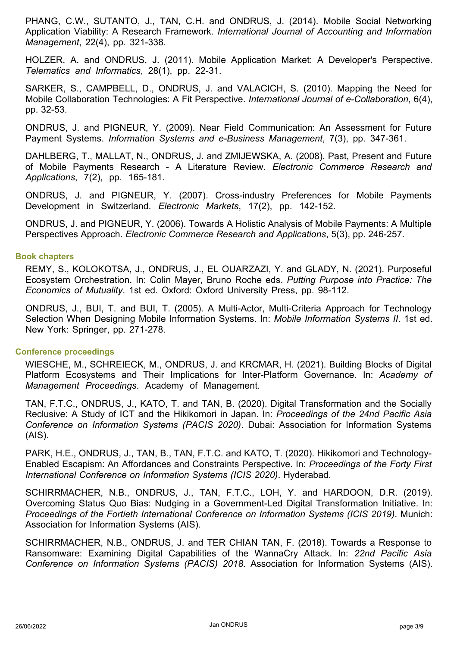PHANG, C.W., SUTANTO, J., TAN, C.H. and ONDRUS, J. (2014). Mobile Social Networking Application Viability: A Research Framework. *International Journal of Accounting and Information Management*, 22(4), pp. 321-338.

HOLZER, A. and ONDRUS, J. (2011). Mobile Application Market: A Developer's Perspective. *Telematics and Informatics*, 28(1), pp. 22-31.

SARKER, S., CAMPBELL, D., ONDRUS, J. and VALACICH, S. (2010). Mapping the Need for Mobile Collaboration Technologies: A Fit Perspective. *International Journal of e-Collaboration*, 6(4), pp. 32-53.

ONDRUS, J. and PIGNEUR, Y. (2009). Near Field Communication: An Assessment for Future Payment Systems. *Information Systems and e-Business Management*, 7(3), pp. 347-361.

DAHLBERG, T., MALLAT, N., ONDRUS, J. and ZMIJEWSKA, A. (2008). Past, Present and Future of Mobile Payments Research - A Literature Review. *Electronic Commerce Research and Applications*, 7(2), pp. 165-181.

ONDRUS, J. and PIGNEUR, Y. (2007). Cross-industry Preferences for Mobile Payments Development in Switzerland. *Electronic Markets*, 17(2), pp. 142-152.

ONDRUS, J. and PIGNEUR, Y. (2006). Towards A Holistic Analysis of Mobile Payments: A Multiple Perspectives Approach. *Electronic Commerce Research and Applications*, 5(3), pp. 246-257.

### **Book chapters**

REMY, S., KOLOKOTSA, J., ONDRUS, J., EL OUARZAZI, Y. and GLADY, N. (2021). Purposeful Ecosystem Orchestration. In: Colin Mayer, Bruno Roche eds. *Putting Purpose into Practice: The Economics of Mutuality*. 1st ed. Oxford: Oxford University Press, pp. 98-112.

ONDRUS, J., BUI, T. and BUI, T. (2005). A Multi-Actor, Multi-Criteria Approach for Technology Selection When Designing Mobile Information Systems. In: *Mobile Information Systems II*. 1st ed. New York: Springer, pp. 271-278.

#### **Conference proceedings**

WIESCHE, M., SCHREIECK, M., ONDRUS, J. and KRCMAR, H. (2021). Building Blocks of Digital Platform Ecosystems and Their Implications for Inter-Platform Governance. In: *Academy of Management Proceedings*. Academy of Management.

TAN, F.T.C., ONDRUS, J., KATO, T. and TAN, B. (2020). Digital Transformation and the Socially Reclusive: A Study of ICT and the Hikikomori in Japan. In: *Proceedings of the 24nd Pacific Asia Conference on Information Systems (PACIS 2020)*. Dubai: Association for Information Systems (AIS).

PARK, H.E., ONDRUS, J., TAN, B., TAN, F.T.C. and KATO, T. (2020). Hikikomori and Technology-Enabled Escapism: An Affordances and Constraints Perspective. In: *Proceedings of the Forty First International Conference on Information Systems (ICIS 2020)*. Hyderabad.

SCHIRRMACHER, N.B., ONDRUS, J., TAN, F.T.C., LOH, Y. and HARDOON, D.R. (2019). Overcoming Status Quo Bias: Nudging in a Government-Led Digital Transformation Initiative. In: *Proceedings of the Fortieth International Conference on Information Systems (ICIS 2019)*. Munich: Association for Information Systems (AIS).

SCHIRRMACHER, N.B., ONDRUS, J. and TER CHIAN TAN, F. (2018). Towards a Response to Ransomware: Examining Digital Capabilities of the WannaCry Attack. In: *22nd Pacific Asia Conference on Information Systems (PACIS) 2018*. Association for Information Systems (AIS).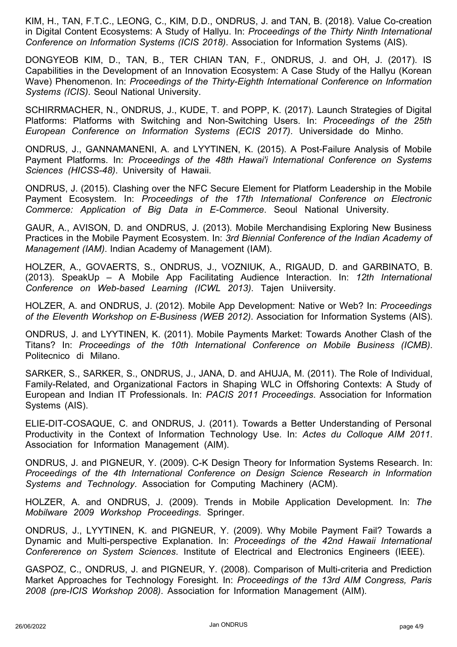KIM, H., TAN, F.T.C., LEONG, C., KIM, D.D., ONDRUS, J. and TAN, B. (2018). Value Co-creation in Digital Content Ecosystems: A Study of Hallyu. In: *Proceedings of the Thirty Ninth International Conference on Information Systems (ICIS 2018)*. Association for Information Systems (AIS).

DONGYEOB KIM, D., TAN, B., TER CHIAN TAN, F., ONDRUS, J. and OH, J. (2017). IS Capabilities in the Development of an Innovation Ecosystem: A Case Study of the Hallyu (Korean Wave) Phenomenon. In: *Proceedings of the Thirty-Eighth International Conference on Information Systems (ICIS)*. Seoul National University.

SCHIRRMACHER, N., ONDRUS, J., KUDE, T. and POPP, K. (2017). Launch Strategies of Digital Platforms: Platforms with Switching and Non-Switching Users. In: *Proceedings of the 25th European Conference on Information Systems (ECIS 2017)*. Universidade do Minho.

ONDRUS, J., GANNAMANENI, A. and LYYTINEN, K. (2015). A Post-Failure Analysis of Mobile Payment Platforms. In: *Proceedings of the 48th Hawai'i International Conference on Systems Sciences (HICSS-48)*. University of Hawaii.

ONDRUS, J. (2015). Clashing over the NFC Secure Element for Platform Leadership in the Mobile Payment Ecosystem. In: *Proceedings of the 17th International Conference on Electronic Commerce: Application of Big Data in E-Commerce*. Seoul National University.

GAUR, A., AVISON, D. and ONDRUS, J. (2013). Mobile Merchandising Exploring New Business Practices in the Mobile Payment Ecosystem. In: *3rd Biennial Conference of the Indian Academy of Management (IAM)*. Indian Academy of Management (IAM).

HOLZER, A., GOVAERTS, S., ONDRUS, J., VOZNIUK, A., RIGAUD, D. and GARBINATO, B. (2013). SpeakUp – A Mobile App Facilitating Audience Interaction. In: *12th International Conference on Web-based Learning (ICWL 2013)*. Tajen Uniiversity.

HOLZER, A. and ONDRUS, J. (2012). Mobile App Development: Native or Web? In: *Proceedings of the Eleventh Workshop on E-Business (WEB 2012)*. Association for Information Systems (AIS).

ONDRUS, J. and LYYTINEN, K. (2011). Mobile Payments Market: Towards Another Clash of the Titans? In: *Proceedings of the 10th International Conference on Mobile Business (ICMB)*. Politecnico di Milano.

SARKER, S., SARKER, S., ONDRUS, J., JANA, D. and AHUJA, M. (2011). The Role of Individual, Family-Related, and Organizational Factors in Shaping WLC in Offshoring Contexts: A Study of European and Indian IT Professionals. In: *PACIS 2011 Proceedings*. Association for Information Systems (AIS).

ELIE-DIT-COSAQUE, C. and ONDRUS, J. (2011). Towards a Better Understanding of Personal Productivity in the Context of Information Technology Use. In: *Actes du Colloque AIM 2011*. Association for Information Management (AIM).

ONDRUS, J. and PIGNEUR, Y. (2009). C-K Design Theory for Information Systems Research. In: *Proceedings of the 4th International Conference on Design Science Research in Information Systems and Technology*. Association for Computing Machinery (ACM).

HOLZER, A. and ONDRUS, J. (2009). Trends in Mobile Application Development. In: *The Mobilware 2009 Workshop Proceedings*. Springer.

ONDRUS, J., LYYTINEN, K. and PIGNEUR, Y. (2009). Why Mobile Payment Fail? Towards a Dynamic and Multi-perspective Explanation. In: *Proceedings of the 42nd Hawaii International Confererence on System Sciences*. Institute of Electrical and Electronics Engineers (IEEE).

GASPOZ, C., ONDRUS, J. and PIGNEUR, Y. (2008). Comparison of Multi-criteria and Prediction Market Approaches for Technology Foresight. In: *Proceedings of the 13rd AIM Congress, Paris 2008 (pre-ICIS Workshop 2008)*. Association for Information Management (AIM).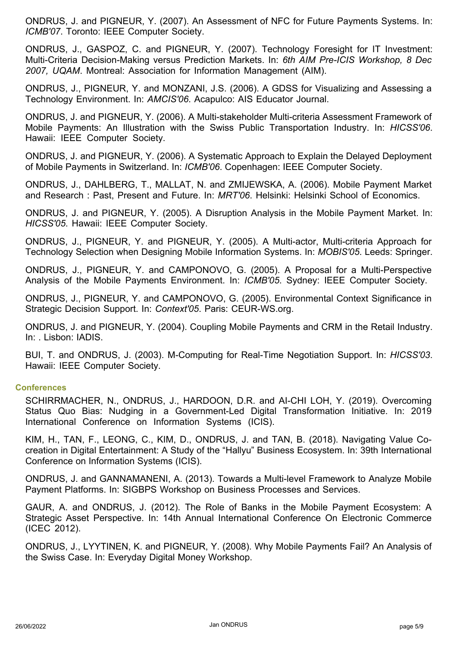ONDRUS, J. and PIGNEUR, Y. (2007). An Assessment of NFC for Future Payments Systems. In: *ICMB'07*. Toronto: IEEE Computer Society.

ONDRUS, J., GASPOZ, C. and PIGNEUR, Y. (2007). Technology Foresight for IT Investment: Multi-Criteria Decision-Making versus Prediction Markets. In: *6th AIM Pre-ICIS Workshop, 8 Dec 2007, UQAM*. Montreal: Association for Information Management (AIM).

ONDRUS, J., PIGNEUR, Y. and MONZANI, J.S. (2006). A GDSS for Visualizing and Assessing a Technology Environment. In: *AMCIS'06*. Acapulco: AIS Educator Journal.

ONDRUS, J. and PIGNEUR, Y. (2006). A Multi-stakeholder Multi-criteria Assessment Framework of Mobile Payments: An Illustration with the Swiss Public Transportation Industry. In: *HICSS'06*. Hawaii: IEEE Computer Society.

ONDRUS, J. and PIGNEUR, Y. (2006). A Systematic Approach to Explain the Delayed Deployment of Mobile Payments in Switzerland. In: *ICMB'06*. Copenhagen: IEEE Computer Society.

ONDRUS, J., DAHLBERG, T., MALLAT, N. and ZMIJEWSKA, A. (2006). Mobile Payment Market and Research : Past, Present and Future. In: *MRT'06*. Helsinki: Helsinki School of Economics.

ONDRUS, J. and PIGNEUR, Y. (2005). A Disruption Analysis in the Mobile Payment Market. In: *HICSS'05*. Hawaii: IEEE Computer Society.

ONDRUS, J., PIGNEUR, Y. and PIGNEUR, Y. (2005). A Multi-actor, Multi-criteria Approach for Technology Selection when Designing Mobile Information Systems. In: *MOBIS'05*. Leeds: Springer.

ONDRUS, J., PIGNEUR, Y. and CAMPONOVO, G. (2005). A Proposal for a Multi-Perspective Analysis of the Mobile Payments Environment. In: *ICMB'05*. Sydney: IEEE Computer Society.

ONDRUS, J., PIGNEUR, Y. and CAMPONOVO, G. (2005). Environmental Context Significance in Strategic Decision Support. In: *Context'05*. Paris: CEUR-WS.org.

ONDRUS, J. and PIGNEUR, Y. (2004). Coupling Mobile Payments and CRM in the Retail Industry. In: . Lisbon: IADIS.

BUI, T. and ONDRUS, J. (2003). M-Computing for Real-Time Negotiation Support. In: *HICSS'03*. Hawaii: IEEE Computer Society.

## **Conferences**

SCHIRRMACHER, N., ONDRUS, J., HARDOON, D.R. and AI-CHI LOH, Y. (2019). Overcoming Status Quo Bias: Nudging in a Government-Led Digital Transformation Initiative. In: 2019 International Conference on Information Systems (ICIS).

KIM, H., TAN, F., LEONG, C., KIM, D., ONDRUS, J. and TAN, B. (2018). Navigating Value Cocreation in Digital Entertainment: A Study of the "Hallyu" Business Ecosystem. In: 39th International Conference on Information Systems (ICIS).

ONDRUS, J. and GANNAMANENI, A. (2013). Towards a Multi-level Framework to Analyze Mobile Payment Platforms. In: SIGBPS Workshop on Business Processes and Services.

GAUR, A. and ONDRUS, J. (2012). The Role of Banks in the Mobile Payment Ecosystem: A Strategic Asset Perspective. In: 14th Annual International Conference On Electronic Commerce (ICEC 2012).

ONDRUS, J., LYYTINEN, K. and PIGNEUR, Y. (2008). Why Mobile Payments Fail? An Analysis of the Swiss Case. In: Everyday Digital Money Workshop.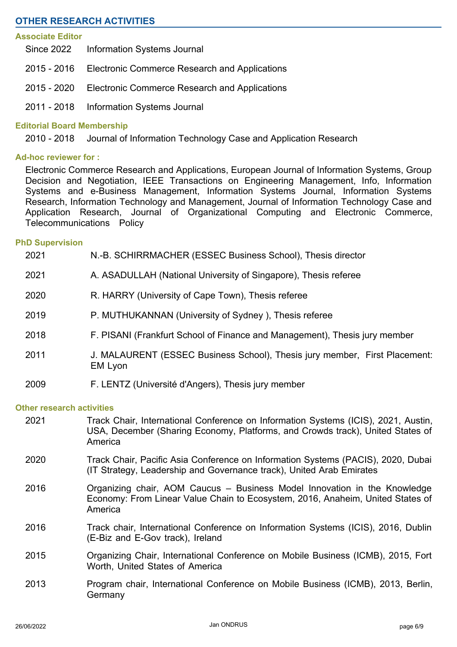# **OTHER RESEARCH ACTIVITIES**

#### **Associate Editor**

- Since 2022 Information Systems Journal
- 2015 2016 Electronic Commerce Research and Applications
- 2015 2020 Electronic Commerce Research and Applications
- 2011 2018 Information Systems Journal

### **Editorial Board Membership**

2010 - 2018 Journal of Information Technology Case and Application Research

## **Ad-hoc reviewer for :**

Electronic Commerce Research and Applications, European Journal of Information Systems, Group Decision and Negotiation, IEEE Transactions on Engineering Management, Info, Information Systems and e-Business Management, Information Systems Journal, Information Systems Research, Information Technology and Management, Journal of Information Technology Case and Application Research, Journal of Organizational Computing and Electronic Commerce, Telecommunications Policy

#### **PhD Supervision**

| 2021                             | N.-B. SCHIRRMACHER (ESSEC Business School), Thesis director                                                                                                                     |  |
|----------------------------------|---------------------------------------------------------------------------------------------------------------------------------------------------------------------------------|--|
| 2021                             | A. ASADULLAH (National University of Singapore), Thesis referee                                                                                                                 |  |
| 2020                             | R. HARRY (University of Cape Town), Thesis referee                                                                                                                              |  |
| 2019                             | P. MUTHUKANNAN (University of Sydney), Thesis referee                                                                                                                           |  |
| 2018                             | F. PISANI (Frankfurt School of Finance and Management), Thesis jury member                                                                                                      |  |
| 2011                             | J. MALAURENT (ESSEC Business School), Thesis jury member, First Placement:<br>EM Lyon                                                                                           |  |
| 2009                             | F. LENTZ (Université d'Angers), Thesis jury member                                                                                                                              |  |
| <b>Other research activities</b> |                                                                                                                                                                                 |  |
| 2021                             | Track Chair, International Conference on Information Systems (ICIS), 2021, Austin,<br>USA, December (Sharing Economy, Platforms, and Crowds track), United States of<br>America |  |
| 2020                             | Track Chair, Pacific Asia Conference on Information Systems (PACIS), 2020, Dubai<br>(IT Strategy, Leadership and Governance track), United Arab Emirates                        |  |
| 2016                             | Organizing chair, AOM Caucus – Business Model Innovation in the Knowledge<br>Economy: From Linear Value Chain to Ecosystem, 2016, Anaheim, United States of<br>America          |  |
| 2016                             | Track chair, International Conference on Information Systems (ICIS), 2016, Dublin<br>(E-Biz and E-Gov track), Ireland                                                           |  |
| 2015                             | Organizing Chair, International Conference on Mobile Business (ICMB), 2015, Fort<br>Worth, United States of America                                                             |  |
| 2013                             | Program chair, International Conference on Mobile Business (ICMB), 2013, Berlin,<br>Germany                                                                                     |  |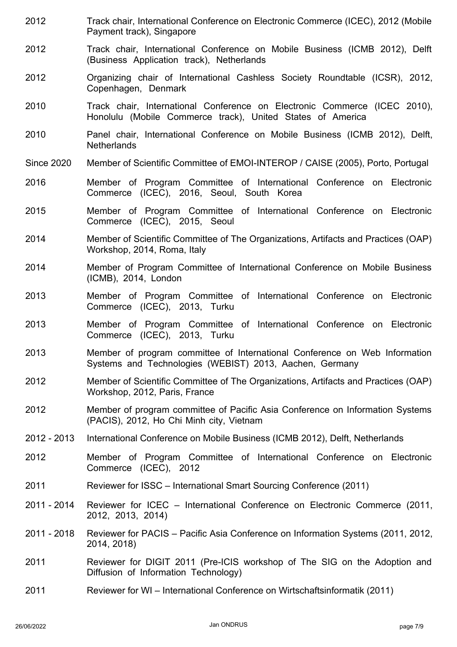- Track chair, International Conference on Electronic Commerce (ICEC), 2012 (Mobile Payment track), Singapore 2012
- Track chair, International Conference on Mobile Business (ICMB 2012), Delft (Business Application track), Netherlands 2012
- Organizing chair of International Cashless Society Roundtable (ICSR), 2012, Copenhagen, Denmark 2012
- Track chair, International Conference on Electronic Commerce (ICEC 2010), Honolulu (Mobile Commerce track), United States of America 2010
- Panel chair, International Conference on Mobile Business (ICMB 2012), Delft, **Netherlands** 2010
- Since 2020 Member of Scientific Committee of EMOI-INTEROP / CAISE (2005), Porto, Portugal
- Member of Program Committee of International Conference on Electronic Commerce (ICEC), 2016, Seoul, South Korea 2016
- Member of Program Committee of International Conference on Electronic Commerce (ICEC), 2015, Seoul 2015
- Member of Scientific Committee of The Organizations, Artifacts and Practices (OAP) Workshop, 2014, Roma, Italy 2014
- Member of Program Committee of International Conference on Mobile Business (ICMB), 2014, London 2014
- Member of Program Committee of International Conference on Electronic Commerce (ICEC), 2013, Turku 2013
- Member of Program Committee of International Conference on Electronic Commerce (ICEC), 2013, Turku 2013
- Member of program committee of International Conference on Web Information Systems and Technologies (WEBIST) 2013, Aachen, Germany 2013
- Member of Scientific Committee of The Organizations, Artifacts and Practices (OAP) Workshop, 2012, Paris, France 2012
- Member of program committee of Pacific Asia Conference on Information Systems (PACIS), 2012, Ho Chi Minh city, Vietnam 2012
- 2012 2013 International Conference on Mobile Business (ICMB 2012), Delft, Netherlands
- Member of Program Committee of International Conference on Electronic Commerce (ICEC), 2012 2012
- 2011 Reviewer for ISSC International Smart Sourcing Conference (2011)
- Reviewer for ICEC International Conference on Electronic Commerce (2011, 2012, 2013, 2014) 2011 - 2014
- Reviewer for PACIS Pacific Asia Conference on Information Systems (2011, 2012, 2014, 2018) 2011 - 2018
- Reviewer for DIGIT 2011 (Pre-ICIS workshop of The SIG on the Adoption and Diffusion of Information Technology) 2011
- 2011 Reviewer for WI International Conference on Wirtschaftsinformatik (2011)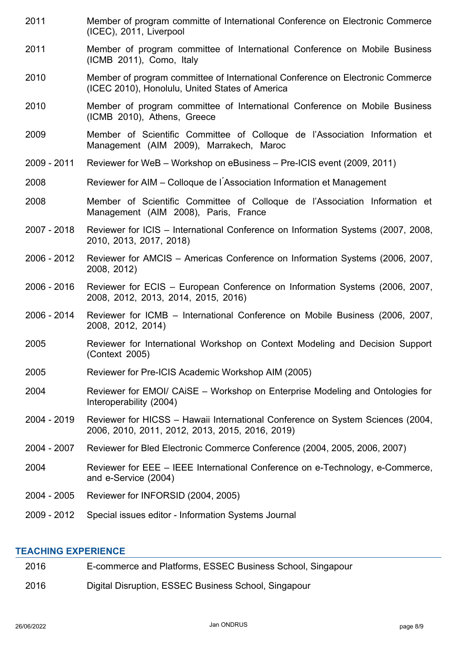- Member of program committe of International Conference on Electronic Commerce (ICEC), 2011, Liverpool 2011
- Member of program committee of International Conference on Mobile Business (ICMB 2011), Como, Italy 2011
- Member of program committee of International Conference on Electronic Commerce (ICEC 2010), Honolulu, United States of America 2010
- Member of program committee of International Conference on Mobile Business (ICMB 2010), Athens, Greece 2010
- Member of Scientific Committee of Colloque de l'Association Information et Management (AIM 2009), Marrakech, Maroc 2009
- 2009 2011 Reviewer for WeB Workshop on eBusiness Pre-ICIS event (2009, 2011)
- 2008 Reviewer for AIM Colloque de l ́Association Information et Management
- Member of Scientific Committee of Colloque de l'Association Information et Management (AIM 2008), Paris, France 2008
- Reviewer for ICIS International Conference on Information Systems (2007, 2008, 2010, 2013, 2017, 2018) 2007 - 2018
- Reviewer for AMCIS Americas Conference on Information Systems (2006, 2007, 2008, 2012) 2006 - 2012
- Reviewer for ECIS European Conference on Information Systems (2006, 2007, 2008, 2012, 2013, 2014, 2015, 2016) 2006 - 2016
- Reviewer for ICMB International Conference on Mobile Business (2006, 2007, 2008, 2012, 2014) 2006 - 2014
- Reviewer for International Workshop on Context Modeling and Decision Support (Context 2005) 2005
- 2005 Reviewer for Pre-ICIS Academic Workshop AIM (2005)
- Reviewer for EMOI/ CAiSE Workshop on Enterprise Modeling and Ontologies for Interoperability (2004) 2004
- Reviewer for HICSS Hawaii International Conference on System Sciences (2004, 2006, 2010, 2011, 2012, 2013, 2015, 2016, 2019) 2004 - 2019
- 2004 2007 Reviewer for Bled Electronic Commerce Conference (2004, 2005, 2006, 2007)
- Reviewer for EEE IEEE International Conference on e-Technology, e-Commerce, and e-Service (2004) 2004
- 2004 2005 Reviewer for INFORSID (2004, 2005)
- 2009 2012 Special issues editor Information Systems Journal

## **TEACHING EXPERIENCE**

| 2016 | E-commerce and Platforms, ESSEC Business School, Singapour |
|------|------------------------------------------------------------|
|      |                                                            |

2016 Digital Disruption, ESSEC Business School, Singapour